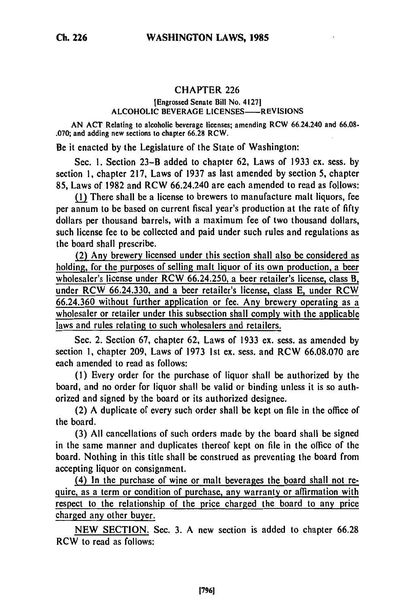## CHAPTER 226

## [Engrossed Senate Bill No. 41271 **ALCOHOLIC** BEVERAGE **LICENSES-REVISIONS**

**AN ACT** Relating **to** alcoholic beverage licenses; amending RCW 66.24.240 and **66.08-** .070; and adding new sections to chapter 66.28 RCW.

Be it enacted by the Legislature of the State of Washington:

Sec. **1.** Section 23-B added to chapter 62, Laws of 1933 ex. sess. by section **1,** chapter 217, Laws of 1937 as last amended by section 5, chapter **85,** Laws of 1982 and RCW 66.24.240 are each amended to read as follows:

**(l** There shall be a license to brewers to manufacture malt liquors, fee per annum to be based on current fiscal year's production at the rate of fifty dollars per thousand barrels, with a maximum fee of two thousand dollars, such license fee to be collected and paid under such rules and regulations as the board shall prescribe.

(2) Any brewery licensed under this section shall also be considered as holding, for the purposes of selling malt liquor of its own production, a beer wholesaler's license under RCW 66.24.250, a beer retailer's license, class B, under RCW 66.24.330, and a beer retailer's license, class **E,** under RCW 66.24.360 without further application or fee. Any brewery operating as a wholesaler or retailer under this subsection shall comply with the applicable laws and rules relating to such wholesalers and retailers.

Sec. 2. Section 67, chapter **62,** Laws of 1933 ex. sess. as amended by section **1,** chapter 209, Laws of 1973 1st ex. sess. and RCW 66.08.070 are each amended to read as follows:

(1) Every order for the purchase of liquor shall be authorized **by** the board, and no order for liquor shall be valid or binding unless it is so authorized and signed by the board or its authorized designee.

(2) A duplicate of every such order shall be kept on file in the office of the board.

(3) All cancellations of such orders made **by** the board shall be signed in the same manner and duplicates thereof kept on file in the office of the board. Nothing in this title shall be construed as preventing the board from accepting liquor on consignment.

(4) In the purchase of wine or malt beverages the board shall not require, as a term or condition of purchase, any warranty or affirmation with respect to the relationship of the price charged the board to any price charged any other buyer.

NEW SECTION. Sec. 3. A new section is added to chapter 66.28 RCW to read as follows: